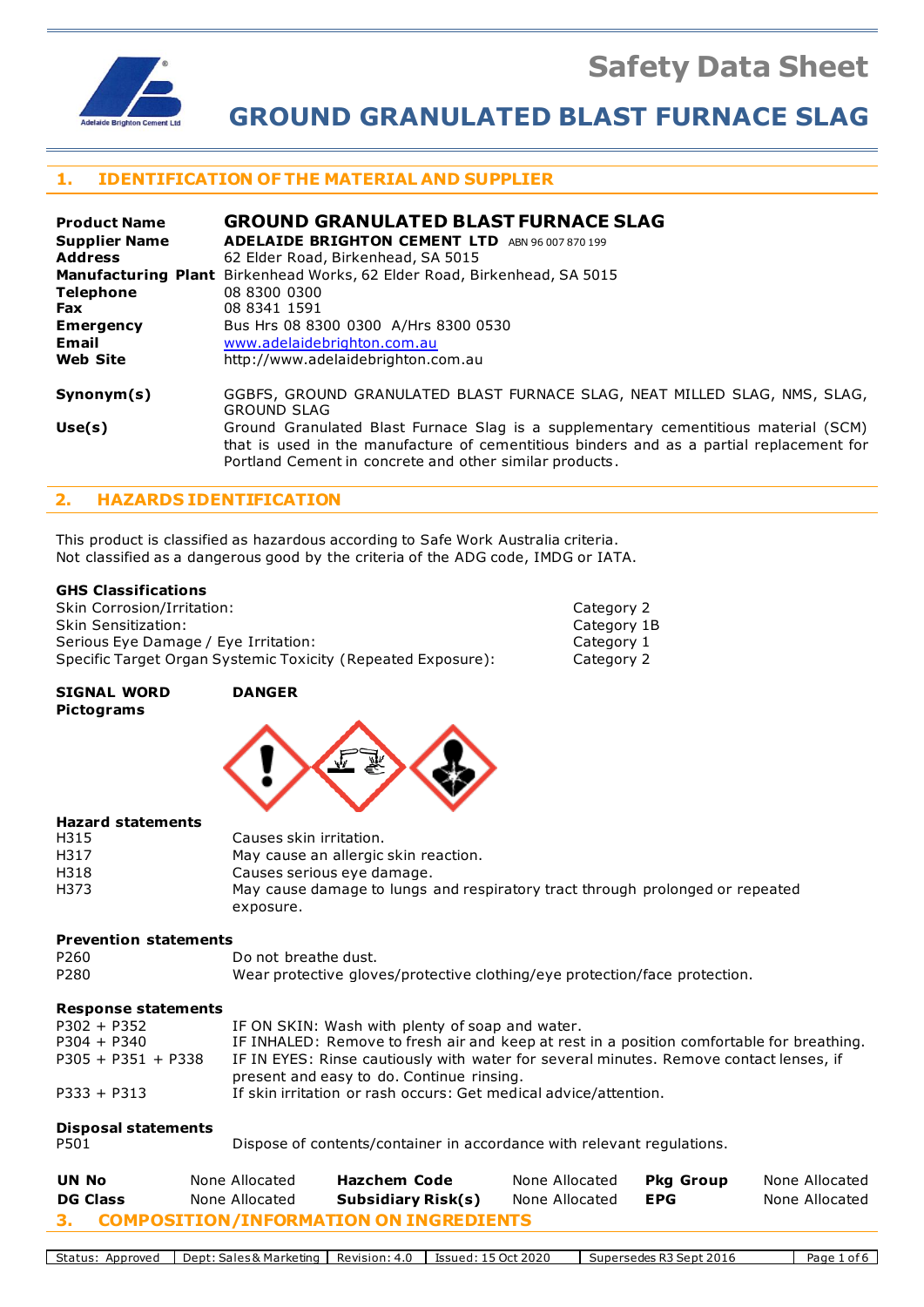**Safety Data Sheet**



**GROUND GRANULATED BLAST FURNACE SLAG**

# **1. IDENTIFICATION OF THE MATERIAL AND SUPPLIER**

| <b>Product Name</b>  | <b>GROUND GRANULATED BLAST FURNACE SLAG</b>                                                                                                                                                                                                |  |  |
|----------------------|--------------------------------------------------------------------------------------------------------------------------------------------------------------------------------------------------------------------------------------------|--|--|
| <b>Supplier Name</b> | <b>ADELAIDE BRIGHTON CEMENT LTD</b><br>ABN 96 007 870 199                                                                                                                                                                                  |  |  |
| <b>Address</b>       | 62 Elder Road, Birkenhead, SA 5015                                                                                                                                                                                                         |  |  |
|                      | Manufacturing Plant Birkenhead Works, 62 Elder Road, Birkenhead, SA 5015                                                                                                                                                                   |  |  |
| <b>Telephone</b>     | 08 8300 0300                                                                                                                                                                                                                               |  |  |
| <b>Fax</b>           | 08 8341 1591                                                                                                                                                                                                                               |  |  |
| <b>Emergency</b>     | Bus Hrs 08 8300 0300 A/Hrs 8300 0530                                                                                                                                                                                                       |  |  |
| Email                | www.adelaidebrighton.com.au                                                                                                                                                                                                                |  |  |
| <b>Web Site</b>      | http://www.adelaidebrighton.com.au                                                                                                                                                                                                         |  |  |
| Symonym(s)           | GGBFS, GROUND GRANULATED BLAST FURNACE SLAG, NEAT MILLED SLAG, NMS, SLAG,<br><b>GROUND SLAG</b>                                                                                                                                            |  |  |
| Use(s)               | Ground Granulated Blast Furnace Slag is a supplementary cementitious material (SCM)<br>that is used in the manufacture of cementitious binders and as a partial replacement for<br>Portland Cement in concrete and other similar products. |  |  |

## **2. HAZARDS IDENTIFICATION**

This product is classified as hazardous according to Safe Work Australia criteria. Not classified as a dangerous good by the criteria of the ADG code, IMDG or IATA.

#### **GHS Classifications**

| Skin Corrosion/Irritation:                                   | Category 2  |
|--------------------------------------------------------------|-------------|
| Skin Sensitization:                                          | Category 1B |
| Serious Eve Damage / Eve Irritation:                         | Category 1  |
| Specific Target Organ Systemic Toxicity (Repeated Exposure): | Category 2  |

#### **SIGNAL WORD DANGER Pictograms**



#### **Hazard statements**

| H315 | Causes skin irritation.                                                       |
|------|-------------------------------------------------------------------------------|
| H317 | May cause an allergic skin reaction.                                          |
| H318 | Causes serious eye damage.                                                    |
| H373 | May cause damage to lungs and respiratory tract through prolonged or repeated |
|      | exposure.                                                                     |

#### **Prevention statements**

| P <sub>260</sub> | Do not breathe dust.                                                       |
|------------------|----------------------------------------------------------------------------|
| P <sub>280</sub> | Wear protective gloves/protective clothing/eye protection/face protection. |

#### **Response statements**

| $P302 + P352$        | IF ON SKIN: Wash with plenty of soap and water.                                           |
|----------------------|-------------------------------------------------------------------------------------------|
| $P304 + P340$        | IF INHALED: Remove to fresh air and keep at rest in a position comfortable for breathing. |
| $P305 + P351 + P338$ | IF IN EYES: Rinse cautiously with water for several minutes. Remove contact lenses, if    |
|                      | present and easy to do. Continue rinsing.                                                 |
| $P333 + P313$        | If skin irritation or rash occurs: Get medical advice/attention.                          |

# **Disposal statements**

P501 Dispose of contents/container in accordance with relevant regulations.

| UN No                                     | None Allocated | Hazchem Code       | None Allocated | Pka Group | None Allocated |
|-------------------------------------------|----------------|--------------------|----------------|-----------|----------------|
| <b>DG Class</b>                           | None Allocated | Subsidiary Risk(s) | None Allocated | EPG       | None Allocated |
| 3. COMPOSITION/INFORMATION ON INGREDIENTS |                |                    |                |           |                |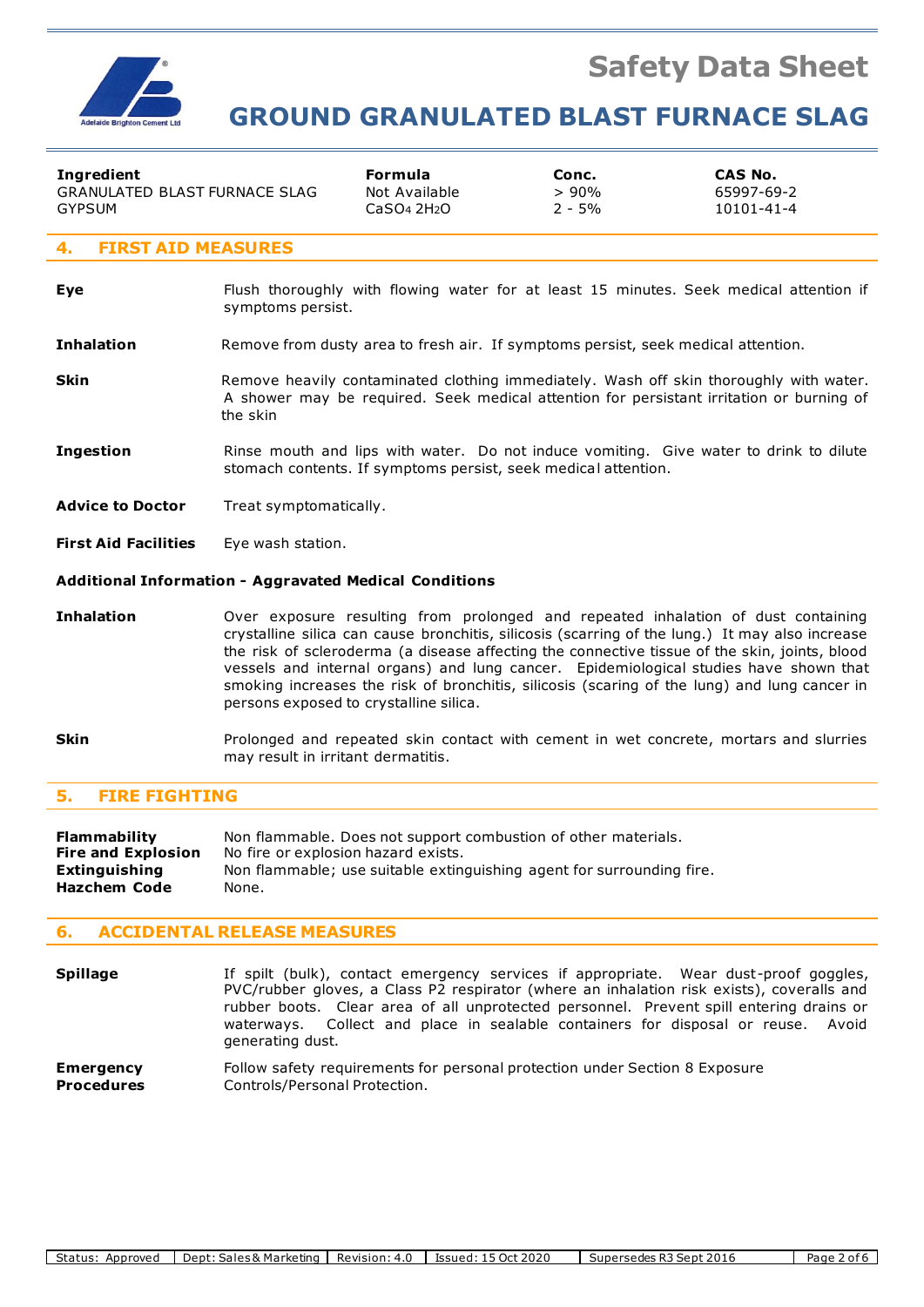

# **GROUND GRANULATED BLAST FURNACE SLAG**

| Ingredient                           | Formula       | Conc.    | CAS No.    |  |
|--------------------------------------|---------------|----------|------------|--|
| <b>GRANULATED BLAST FURNACE SLAG</b> | Not Available | >90%     | 65997-69-2 |  |
| GYPSUM                               | CaSO4 2H2O    | $2 - 5%$ | 10101-41-4 |  |
| 4. FIRST AID MEASURES                |               |          |            |  |

#### **Eye** Flush thoroughly with flowing water for at least 15 minutes. Seek medical attention if symptoms persist.

#### **Inhalation** Remove from dusty area to fresh air. If symptoms persist, seek medical attention.

- **Skin** Remove heavily contaminated clothing immediately. Wash off skin thoroughly with water. A shower may be required. Seek medical attention for persistant irritation or burning of the skin
- **Ingestion** Rinse mouth and lips with water. Do not induce vomiting. Give water to drink to dilute stomach contents. If symptoms persist, seek medical attention.
- **Advice to Doctor** Treat symptomatically.
- **First Aid Facilities** Eye wash station.

#### **Additional Information - Aggravated Medical Conditions**

- **Inhalation** Over exposure resulting from prolonged and repeated inhalation of dust containing crystalline silica can cause bronchitis, silicosis (scarring of the lung.) It may also increase the risk of scleroderma (a disease affecting the connective tissue of the skin, joints, blood vessels and internal organs) and lung cancer. Epidemiological studies have shown that smoking increases the risk of bronchitis, silicosis (scaring of the lung) and lung cancer in persons exposed to crystalline silica.
- **Skin** Prolonged and repeated skin contact with cement in wet concrete, mortars and slurries may result in irritant dermatitis.

#### **5. FIRE FIGHTING**

| <b>Flammability</b>       | Non flammable. Does not support combustion of other materials.        |
|---------------------------|-----------------------------------------------------------------------|
| <b>Fire and Explosion</b> | No fire or explosion hazard exists.                                   |
| Extinguishing             | Non flammable; use suitable extinguishing agent for surrounding fire. |
| <b>Hazchem Code</b>       | None.                                                                 |

#### **6. ACCIDENTAL RELEASE MEASURES**

| <b>Spillage</b>   | If spilt (bulk), contact emergency services if appropriate. Wear dust-proof goggles,<br>PVC/rubber gloves, a Class P2 respirator (where an inhalation risk exists), coveralls and<br>rubber boots. Clear area of all unprotected personnel. Prevent spill entering drains or<br>waterways. Collect and place in sealable containers for disposal or reuse. Avoid<br>generating dust. |
|-------------------|--------------------------------------------------------------------------------------------------------------------------------------------------------------------------------------------------------------------------------------------------------------------------------------------------------------------------------------------------------------------------------------|
| <b>Emergency</b>  | Follow safety requirements for personal protection under Section 8 Exposure                                                                                                                                                                                                                                                                                                          |
| <b>Procedures</b> | Controls/Personal Protection.                                                                                                                                                                                                                                                                                                                                                        |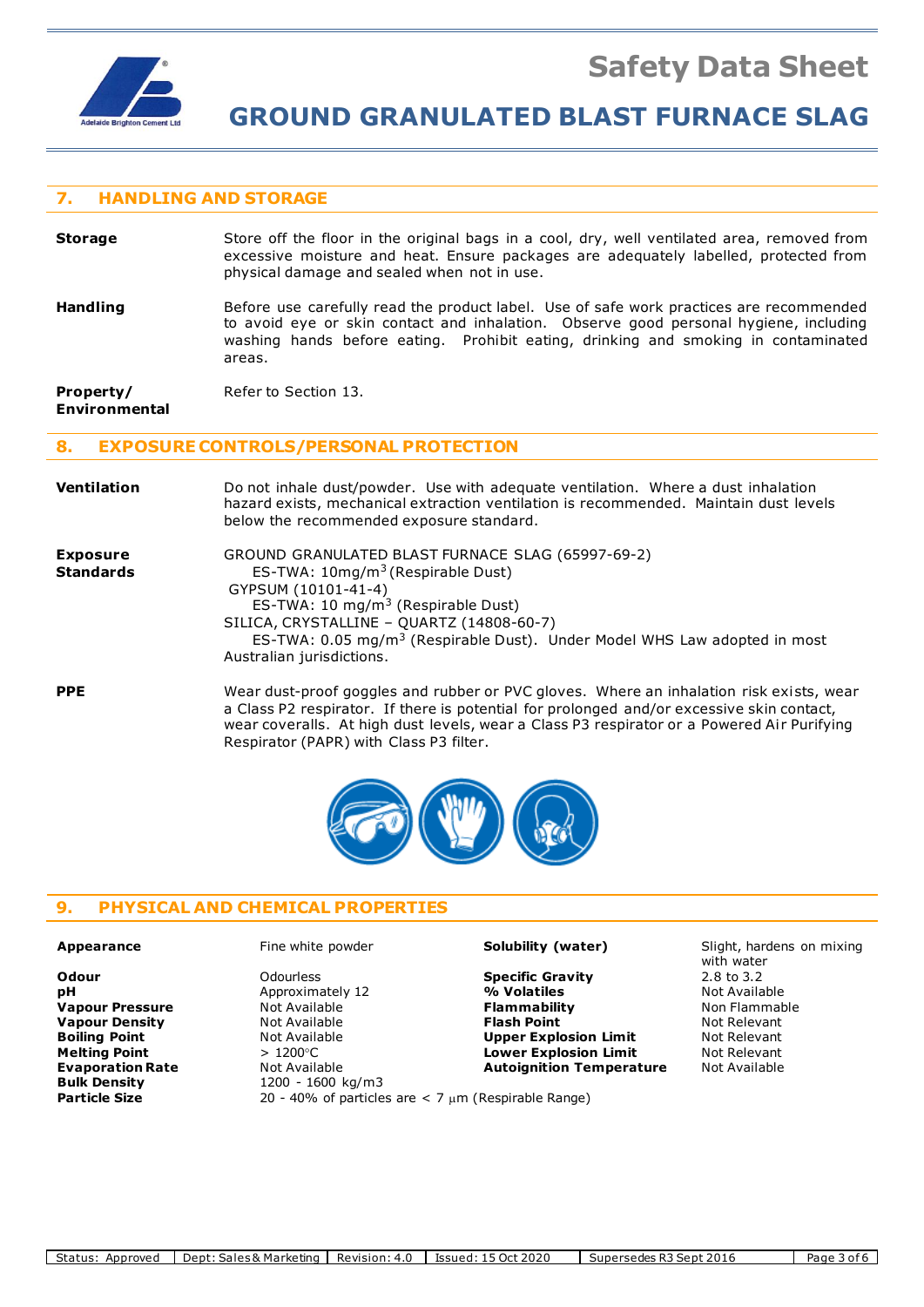

# **GROUND GRANULATED BLAST FURNACE SLAG**

## **7. HANDLING AND STORAGE**

| <b>Storage</b>  | Store off the floor in the original bags in a cool, dry, well ventilated area, removed from<br>excessive moisture and heat. Ensure packages are adequately labelled, protected from<br>physical damage and sealed when not in use.                                               |
|-----------------|----------------------------------------------------------------------------------------------------------------------------------------------------------------------------------------------------------------------------------------------------------------------------------|
| <b>Handling</b> | Before use carefully read the product label. Use of safe work practices are recommended<br>to avoid eye or skin contact and inhalation. Observe good personal hygiene, including<br>washing hands before eating. Prohibit eating, drinking and smoking in contaminated<br>areas. |

**Property/** Refer to Section 13.

**Environmental**

#### **8. EXPOSURE CONTROLS/PERSONAL PROTECTION**

| Ventilation                         | Do not inhale dust/powder. Use with adequate ventilation. Where a dust inhalation<br>hazard exists, mechanical extraction ventilation is recommended. Maintain dust levels<br>below the recommended exposure standard.                                                                                                                         |
|-------------------------------------|------------------------------------------------------------------------------------------------------------------------------------------------------------------------------------------------------------------------------------------------------------------------------------------------------------------------------------------------|
| <b>Exposure</b><br><b>Standards</b> | GROUND GRANULATED BLAST FURNACE SLAG (65997-69-2)<br>ES-TWA: 10mg/m <sup>3</sup> (Respirable Dust)<br>GYPSUM (10101-41-4)<br>ES-TWA: 10 mg/m <sup>3</sup> (Respirable Dust)<br>SILICA, CRYSTALLINE - QUARTZ (14808-60-7)<br>ES-TWA: 0.05 mg/m <sup>3</sup> (Respirable Dust). Under Model WHS Law adopted in most<br>Australian jurisdictions. |
| <b>PPE</b>                          | Wear dust-proof goggles and rubber or PVC gloves. Where an inhalation risk exists, wear<br>a Class P2 respirator. If there is potential for prolonged and/or excessive skin contact,<br>wear coveralls. At high dust levels, wear a Class P3 respirator or a Powered Air Purifying<br>Respirator (PAPR) with Class P3 filter.                  |



## **9. PHYSICAL AND CHEMICAL PROPERTIES**

**Approximately 12 Evaporation Rate Not Available <b>Autoignition Temperature Bulk Density Autoignition Temperature Bulk Density** 1200 - 1600 kg/m3 Particle Size 20 - 40% of particles are < 7 µm (Respirable Range)

#### **Appearance** Fine white powder **Solubility (water)** Slight, hardens on mixing

**Odour** Odourless **Specific Gravity** 2.8 to 3.2 **Vapour Pressure Not Available <b>Flammability Non Flammable Non Flammable Vapour Density Not Available 19 (Not Available 19) Flash Point Not Relevant Boiling Point Not Relevant Relevant Boiling Point Not Relevant Boiling Point**<br> **Melting Point Melting Point**  $> 1200^{\circ}$ C **Lower Explosion Limit**Melting Point

Not Relevant

Not Relevant

Not Relevant **Melting Point**  $\blacksquare$  **and**  $\blacksquare$  **and**  $\blacksquare$  **and**  $\blacksquare$  **and**  $\blacksquare$  **and \ Melting Point** > 1200C **Lower Explosion Limit** Not Relevant

with water<br>2.8 to 3.2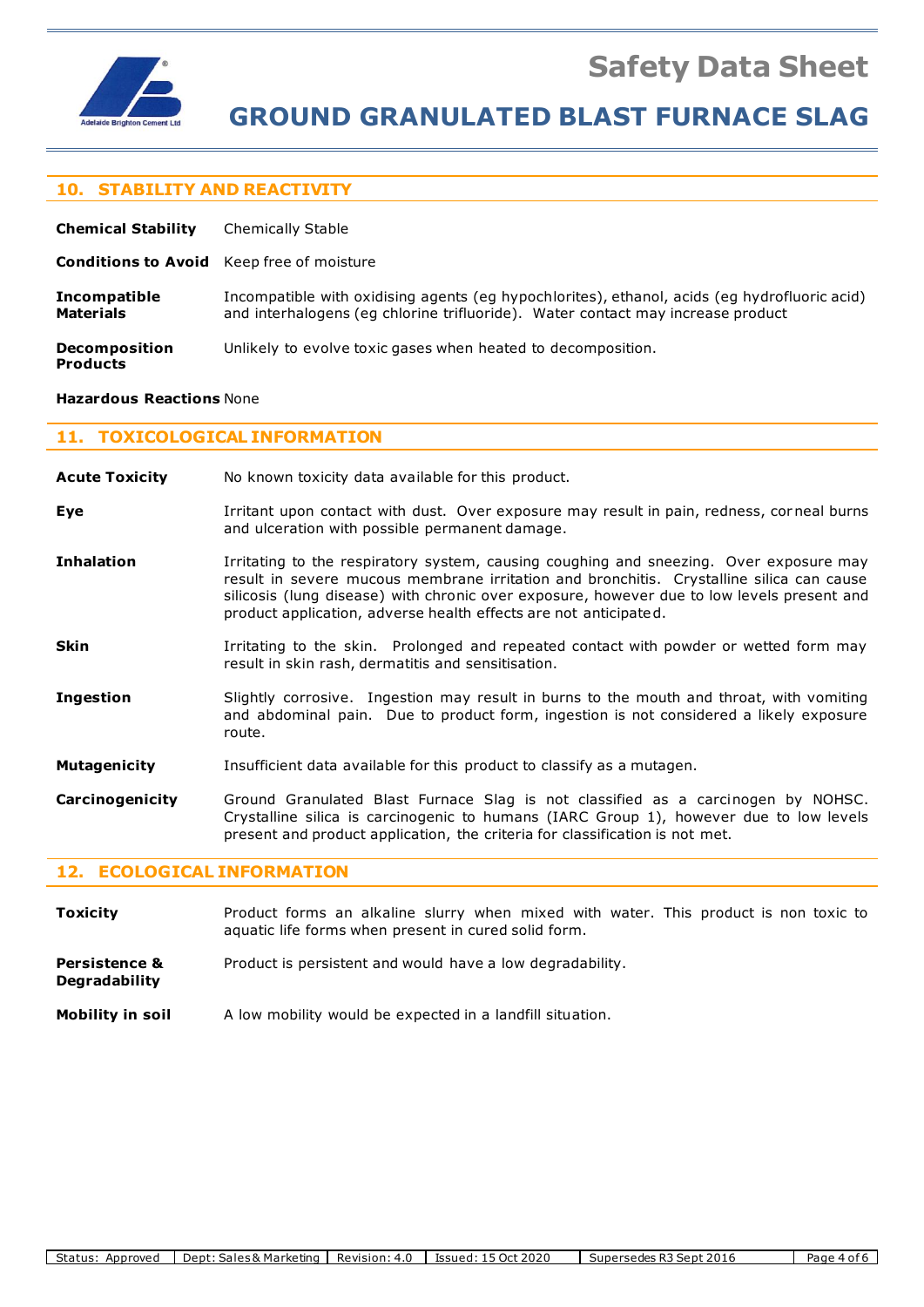

# **GROUND GRANULATED BLAST FURNACE SLAG**

## **10. STABILITY AND REACTIVITY**

| <b>Chemical Stability</b>                        | <b>Chemically Stable</b>                                                                                                                                                        |
|--------------------------------------------------|---------------------------------------------------------------------------------------------------------------------------------------------------------------------------------|
| <b>Conditions to Avoid</b> Keep free of moisture |                                                                                                                                                                                 |
| <b>Incompatible</b><br><b>Materials</b>          | Incompatible with oxidising agents (eg hypochlorites), ethanol, acids (eg hydrofluoric acid)<br>and interhalogens (eq chlorine trifluoride). Water contact may increase product |
| <b>Decomposition</b><br><b>Products</b>          | Unlikely to evolve toxic gases when heated to decomposition.                                                                                                                    |

#### **Hazardous Reactions** None

# **11. TOXICOLOGICAL INFORMATION**

| <b>Acute Toxicity</b> | No known toxicity data available for this product.                                                                                                                                                                                                                                                                                                   |  |  |
|-----------------------|------------------------------------------------------------------------------------------------------------------------------------------------------------------------------------------------------------------------------------------------------------------------------------------------------------------------------------------------------|--|--|
| Eye                   | Irritant upon contact with dust. Over exposure may result in pain, redness, corneal burns<br>and ulceration with possible permanent damage.                                                                                                                                                                                                          |  |  |
| <b>Inhalation</b>     | Irritating to the respiratory system, causing coughing and sneezing. Over exposure may<br>result in severe mucous membrane irritation and bronchitis. Crystalline silica can cause<br>silicosis (lung disease) with chronic over exposure, however due to low levels present and<br>product application, adverse health effects are not anticipated. |  |  |
| <b>Skin</b>           | Irritating to the skin. Prolonged and repeated contact with powder or wetted form may<br>result in skin rash, dermatitis and sensitisation.                                                                                                                                                                                                          |  |  |
| <b>Ingestion</b>      | Slightly corrosive. Ingestion may result in burns to the mouth and throat, with vomiting<br>and abdominal pain. Due to product form, ingestion is not considered a likely exposure<br>route.                                                                                                                                                         |  |  |
| <b>Mutagenicity</b>   | Insufficient data available for this product to classify as a mutagen.                                                                                                                                                                                                                                                                               |  |  |
| Carcinogenicity       | Ground Granulated Blast Furnace Slag is not classified as a carcinogen by NOHSC.<br>Crystalline silica is carcinogenic to humans (IARC Group 1), however due to low levels<br>present and product application, the criteria for classification is not met.                                                                                           |  |  |

#### **12. ECOLOGICAL INFORMATION**

- **Toxicity** Product forms an alkaline slurry when mixed with water. This product is non toxic to aquatic life forms when present in cured solid form.
- **Persistence &** Product is persistent and would have a low degradability. **Degradability**
- **Mobility in soil** A low mobility would be expected in a landfill situation.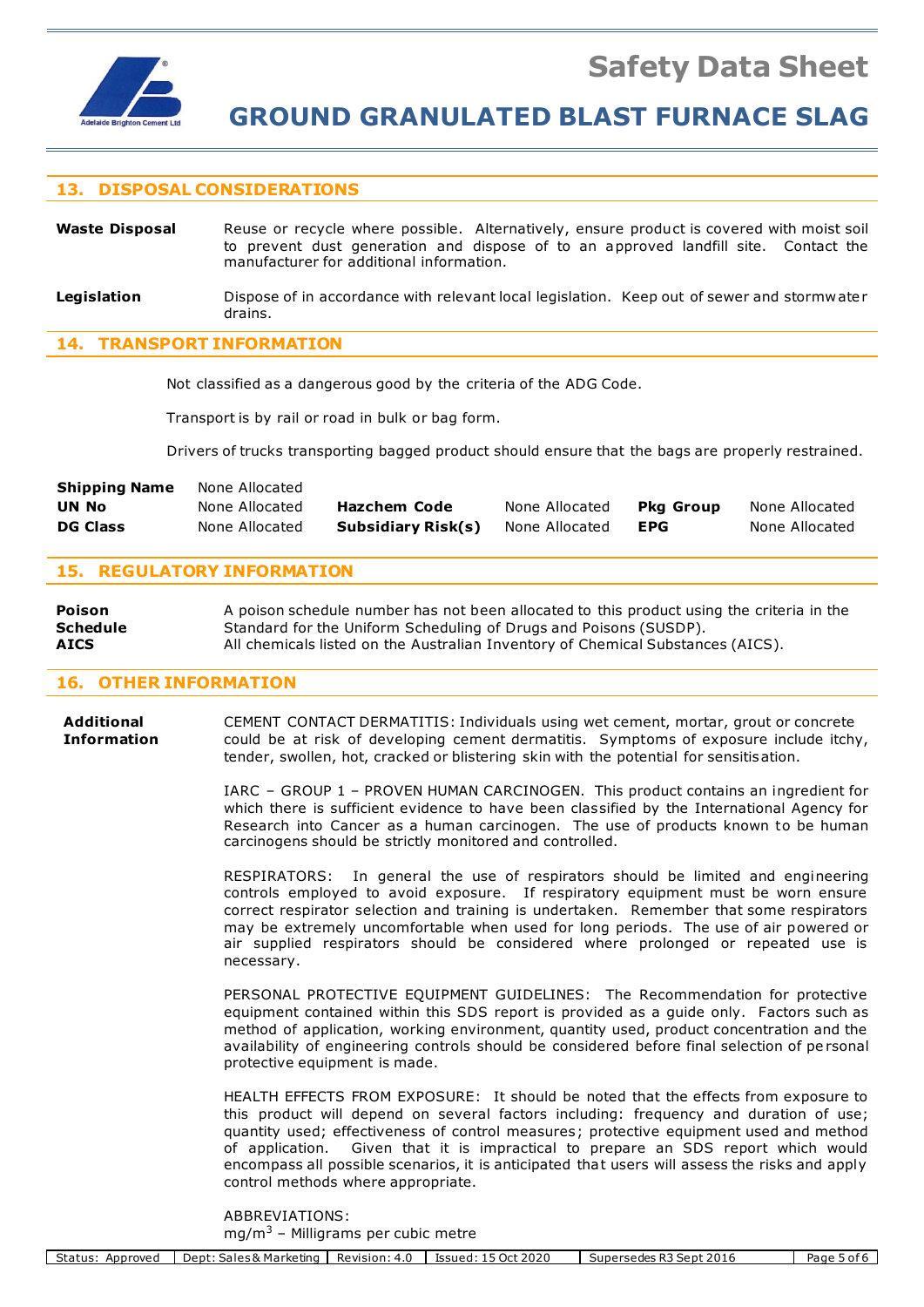

### **13. DISPOSAL CONSIDERATIONS**

Waste Disposal Reuse or recycle where possible. Alternatively, ensure product is covered with moist soil to prevent dust generation and dispose of to an approved landfill site. Contact the manufacturer for additional information.

Legislation **Dispose of in accordance with relevant local legislation. Keep out of sewer and stormwater** drains.

#### **14. TRANSPORT INFORMATION**

Not classified as a dangerous good by the criteria of the ADG Code.

Transport is by rail or road in bulk or bag form.

Drivers of trucks transporting bagged product should ensure that the bags are properly restrained.

| <b>Shipping Name</b> | None Allocated |                    |                |                  |                |
|----------------------|----------------|--------------------|----------------|------------------|----------------|
| <b>UN No</b>         | None Allocated | Hazchem Code       | None Allocated | <b>Pka Group</b> | None Allocated |
| <b>DG Class</b>      | None Allocated | Subsidiary Risk(s) | None Allocated | <b>EPG</b>       | None Allocated |

#### **15. REGULATORY INFORMATION**

**Poison** A poison schedule number has not been allocated to this product using the criteria in the **Schedule** Standard for the Uniform Scheduling of Drugs and Poisons (SUSDP). **AICS** All chemicals listed on the Australian Inventory of Chemical Substances (AICS).

### **16. OTHER INFORMATION**

**Additional** CEMENT CONTACT DERMATITIS: Individuals using wet cement, mortar, grout or concrete **Information** could be at risk of developing cement dermatitis. Symptoms of exposure include itchy, tender, swollen, hot, cracked or blistering skin with the potential for sensitisation.

> IARC – GROUP 1 – PROVEN HUMAN CARCINOGEN. This product contains an ingredient for which there is sufficient evidence to have been classified by the International Agency for Research into Cancer as a human carcinogen. The use of products known to be human carcinogens should be strictly monitored and controlled.

> RESPIRATORS: In general the use of respirators should be limited and engineering controls employed to avoid exposure. If respiratory equipment must be worn ensure correct respirator selection and training is undertaken. Remember that some respirators may be extremely uncomfortable when used for long periods. The use of air powered or air supplied respirators should be considered where prolonged or repeated use is necessary.

> PERSONAL PROTECTIVE EQUIPMENT GUIDELINES: The Recommendation for protective equipment contained within this SDS report is provided as a guide only. Factors such as method of application, working environment, quantity used, product concentration and the availability of engineering controls should be considered before final selection of pe rsonal protective equipment is made.

> HEALTH EFFECTS FROM EXPOSURE: It should be noted that the effects from exposure to this product will depend on several factors including: frequency and duration of use; quantity used; effectiveness of control measures; protective equipment used and method of application. Given that it is impractical to prepare an SDS report which would encompass all possible scenarios, it is anticipated that users will assess the risks and apply control methods where appropriate.

ABBREVIATIONS: mg/m<sup>3</sup> – Milligrams per cubic metre